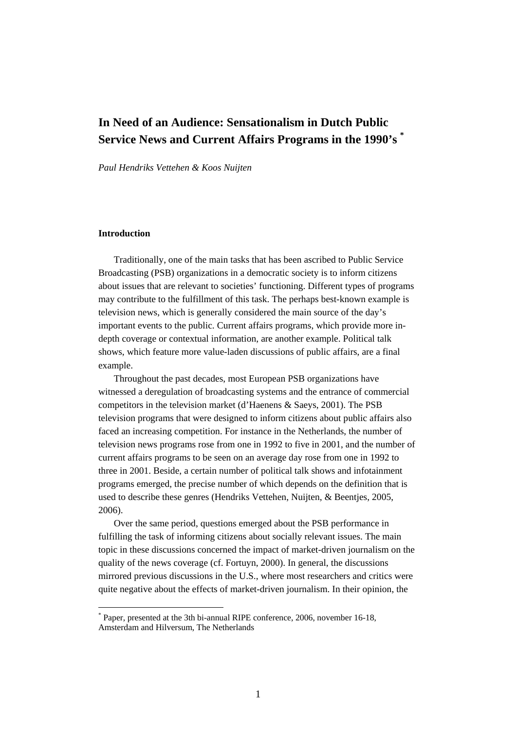# **In Need of an Audience: Sensationalism in Dutch Public Service News and Current Affairs Programs in the 1990's \***

*Paul Hendriks Vettehen & Koos Nuijten* 

# **Introduction**

 $\overline{a}$ 

Traditionally, one of the main tasks that has been ascribed to Public Service Broadcasting (PSB) organizations in a democratic society is to inform citizens about issues that are relevant to societies' functioning. Different types of programs may contribute to the fulfillment of this task. The perhaps best-known example is television news, which is generally considered the main source of the day's important events to the public. Current affairs programs, which provide more indepth coverage or contextual information, are another example. Political talk shows, which feature more value-laden discussions of public affairs, are a final example.

Throughout the past decades, most European PSB organizations have witnessed a deregulation of broadcasting systems and the entrance of commercial competitors in the television market (d'Haenens & Saeys, 2001). The PSB television programs that were designed to inform citizens about public affairs also faced an increasing competition. For instance in the Netherlands, the number of television news programs rose from one in 1992 to five in 2001, and the number of current affairs programs to be seen on an average day rose from one in 1992 to three in 2001. Beside, a certain number of political talk shows and infotainment programs emerged, the precise number of which depends on the definition that is used to describe these genres (Hendriks Vettehen, Nuijten, & Beentjes, 2005, 2006).

Over the same period, questions emerged about the PSB performance in fulfilling the task of informing citizens about socially relevant issues. The main topic in these discussions concerned the impact of market-driven journalism on the quality of the news coverage (cf. Fortuyn, 2000). In general, the discussions mirrored previous discussions in the U.S., where most researchers and critics were quite negative about the effects of market-driven journalism. In their opinion, the

<sup>\*</sup> Paper, presented at the 3th bi-annual RIPE conference, 2006, november 16-18, Amsterdam and Hilversum, The Netherlands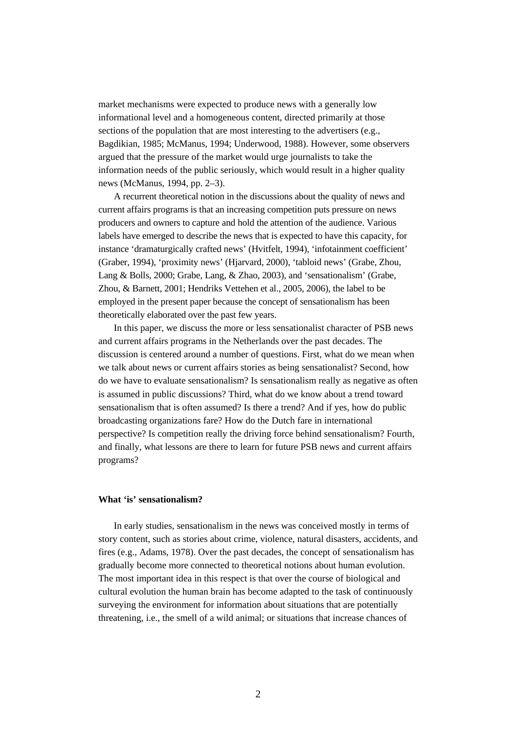market mechanisms were expected to produce news with a generally low informational level and a homogeneous content, directed primarily at those sections of the population that are most interesting to the advertisers (e.g., Bagdikian, 1985; McManus, 1994; Underwood, 1988). However, some observers argued that the pressure of the market would urge journalists to take the information needs of the public seriously, which would result in a higher quality news (McManus, 1994, pp. 2–3).

 A recurrent theoretical notion in the discussions about the quality of news and current affairs programs is that an increasing competition puts pressure on news producers and owners to capture and hold the attention of the audience. Various labels have emerged to describe the news that is expected to have this capacity, for instance 'dramaturgically crafted news' (Hvitfelt, 1994), 'infotainment coefficient' (Graber, 1994), 'proximity news' (Hjarvard, 2000), 'tabloid news' (Grabe, Zhou, Lang & Bolls, 2000; Grabe, Lang, & Zhao, 2003), and 'sensationalism' (Grabe, Zhou, & Barnett, 2001; Hendriks Vettehen et al., 2005, 2006), the label to be employed in the present paper because the concept of sensationalism has been theoretically elaborated over the past few years.

In this paper, we discuss the more or less sensationalist character of PSB news and current affairs programs in the Netherlands over the past decades. The discussion is centered around a number of questions. First, what do we mean when we talk about news or current affairs stories as being sensationalist? Second, how do we have to evaluate sensationalism? Is sensationalism really as negative as often is assumed in public discussions? Third, what do we know about a trend toward sensationalism that is often assumed? Is there a trend? And if yes, how do public broadcasting organizations fare? How do the Dutch fare in international perspective? Is competition really the driving force behind sensationalism? Fourth, and finally, what lessons are there to learn for future PSB news and current affairs programs?

# **What 'is' sensationalism?**

In early studies, sensationalism in the news was conceived mostly in terms of story content, such as stories about crime, violence, natural disasters, accidents, and fires (e.g., Adams, 1978). Over the past decades, the concept of sensationalism has gradually become more connected to theoretical notions about human evolution. The most important idea in this respect is that over the course of biological and cultural evolution the human brain has become adapted to the task of continuously surveying the environment for information about situations that are potentially threatening, i.e., the smell of a wild animal; or situations that increase chances of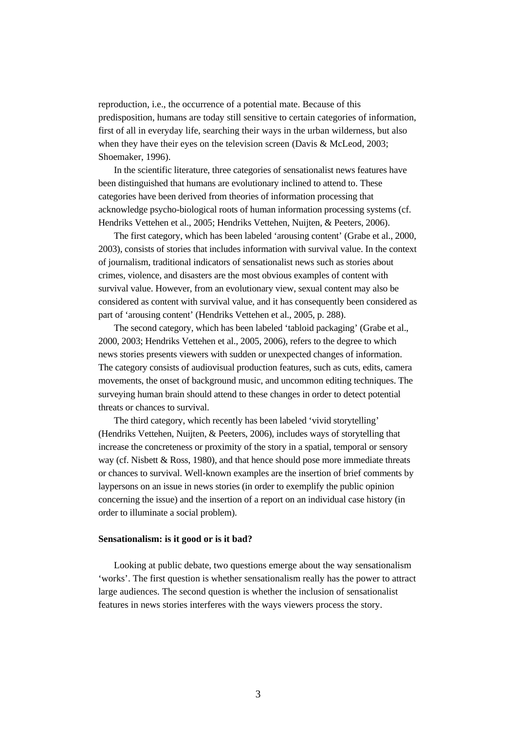reproduction, i.e., the occurrence of a potential mate. Because of this predisposition, humans are today still sensitive to certain categories of information, first of all in everyday life, searching their ways in the urban wilderness, but also when they have their eyes on the television screen (Davis & McLeod, 2003; Shoemaker, 1996).

 In the scientific literature, three categories of sensationalist news features have been distinguished that humans are evolutionary inclined to attend to. These categories have been derived from theories of information processing that acknowledge psycho-biological roots of human information processing systems (cf. Hendriks Vettehen et al., 2005; Hendriks Vettehen, Nuijten, & Peeters, 2006).

 The first category, which has been labeled 'arousing content' (Grabe et al., 2000, 2003), consists of stories that includes information with survival value. In the context of journalism, traditional indicators of sensationalist news such as stories about crimes, violence, and disasters are the most obvious examples of content with survival value. However, from an evolutionary view, sexual content may also be considered as content with survival value, and it has consequently been considered as part of 'arousing content' (Hendriks Vettehen et al., 2005, p. 288).

 The second category, which has been labeled 'tabloid packaging' (Grabe et al., 2000, 2003; Hendriks Vettehen et al., 2005, 2006), refers to the degree to which news stories presents viewers with sudden or unexpected changes of information. The category consists of audiovisual production features, such as cuts, edits, camera movements, the onset of background music, and uncommon editing techniques. The surveying human brain should attend to these changes in order to detect potential threats or chances to survival.

 The third category, which recently has been labeled 'vivid storytelling' (Hendriks Vettehen, Nuijten, & Peeters, 2006), includes ways of storytelling that increase the concreteness or proximity of the story in a spatial, temporal or sensory way (cf. Nisbett & Ross, 1980), and that hence should pose more immediate threats or chances to survival. Well-known examples are the insertion of brief comments by laypersons on an issue in news stories (in order to exemplify the public opinion concerning the issue) and the insertion of a report on an individual case history (in order to illuminate a social problem).

#### **Sensationalism: is it good or is it bad?**

Looking at public debate, two questions emerge about the way sensationalism 'works'. The first question is whether sensationalism really has the power to attract large audiences. The second question is whether the inclusion of sensationalist features in news stories interferes with the ways viewers process the story.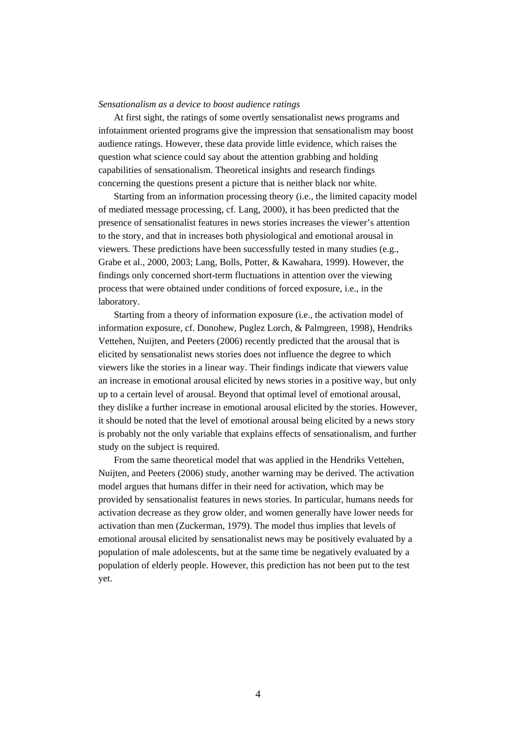## *Sensationalism as a device to boost audience ratings*

At first sight, the ratings of some overtly sensationalist news programs and infotainment oriented programs give the impression that sensationalism may boost audience ratings. However, these data provide little evidence, which raises the question what science could say about the attention grabbing and holding capabilities of sensationalism. Theoretical insights and research findings concerning the questions present a picture that is neither black nor white.

Starting from an information processing theory (i.e., the limited capacity model of mediated message processing, cf. Lang, 2000), it has been predicted that the presence of sensationalist features in news stories increases the viewer's attention to the story, and that in increases both physiological and emotional arousal in viewers. These predictions have been successfully tested in many studies (e.g., Grabe et al., 2000, 2003; Lang, Bolls, Potter, & Kawahara, 1999). However, the findings only concerned short-term fluctuations in attention over the viewing process that were obtained under conditions of forced exposure, i.e., in the laboratory.

Starting from a theory of information exposure (i.e., the activation model of information exposure, cf. Donohew, Puglez Lorch, & Palmgreen, 1998), Hendriks Vettehen, Nuijten, and Peeters (2006) recently predicted that the arousal that is elicited by sensationalist news stories does not influence the degree to which viewers like the stories in a linear way. Their findings indicate that viewers value an increase in emotional arousal elicited by news stories in a positive way, but only up to a certain level of arousal. Beyond that optimal level of emotional arousal, they dislike a further increase in emotional arousal elicited by the stories. However, it should be noted that the level of emotional arousal being elicited by a news story is probably not the only variable that explains effects of sensationalism, and further study on the subject is required.

From the same theoretical model that was applied in the Hendriks Vettehen, Nuijten, and Peeters (2006) study, another warning may be derived. The activation model argues that humans differ in their need for activation, which may be provided by sensationalist features in news stories. In particular, humans needs for activation decrease as they grow older, and women generally have lower needs for activation than men (Zuckerman, 1979). The model thus implies that levels of emotional arousal elicited by sensationalist news may be positively evaluated by a population of male adolescents, but at the same time be negatively evaluated by a population of elderly people. However, this prediction has not been put to the test yet.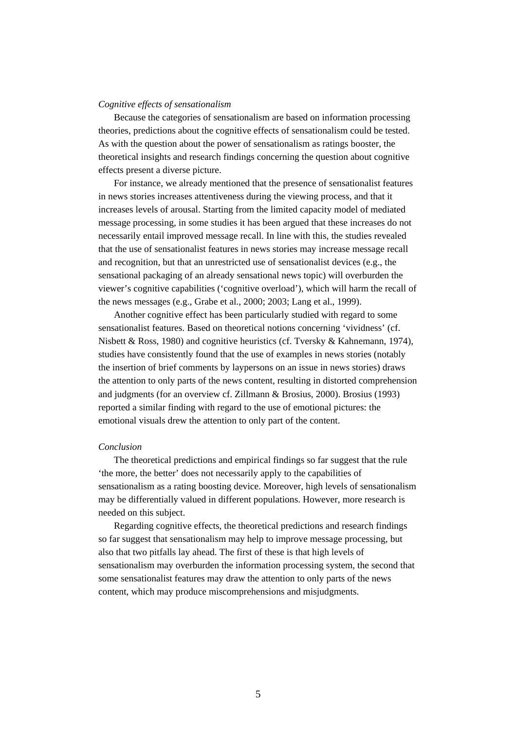## *Cognitive effects of sensationalism*

Because the categories of sensationalism are based on information processing theories, predictions about the cognitive effects of sensationalism could be tested. As with the question about the power of sensationalism as ratings booster, the theoretical insights and research findings concerning the question about cognitive effects present a diverse picture.

For instance, we already mentioned that the presence of sensationalist features in news stories increases attentiveness during the viewing process, and that it increases levels of arousal. Starting from the limited capacity model of mediated message processing, in some studies it has been argued that these increases do not necessarily entail improved message recall. In line with this, the studies revealed that the use of sensationalist features in news stories may increase message recall and recognition, but that an unrestricted use of sensationalist devices (e.g., the sensational packaging of an already sensational news topic) will overburden the viewer's cognitive capabilities ('cognitive overload'), which will harm the recall of the news messages (e.g., Grabe et al., 2000; 2003; Lang et al., 1999).

Another cognitive effect has been particularly studied with regard to some sensationalist features. Based on theoretical notions concerning 'vividness' (cf. Nisbett & Ross, 1980) and cognitive heuristics (cf. Tversky & Kahnemann, 1974), studies have consistently found that the use of examples in news stories (notably the insertion of brief comments by laypersons on an issue in news stories) draws the attention to only parts of the news content, resulting in distorted comprehension and judgments (for an overview cf. Zillmann & Brosius, 2000). Brosius (1993) reported a similar finding with regard to the use of emotional pictures: the emotional visuals drew the attention to only part of the content.

#### *Conclusion*

The theoretical predictions and empirical findings so far suggest that the rule 'the more, the better' does not necessarily apply to the capabilities of sensationalism as a rating boosting device. Moreover, high levels of sensationalism may be differentially valued in different populations. However, more research is needed on this subject.

Regarding cognitive effects, the theoretical predictions and research findings so far suggest that sensationalism may help to improve message processing, but also that two pitfalls lay ahead. The first of these is that high levels of sensationalism may overburden the information processing system, the second that some sensationalist features may draw the attention to only parts of the news content, which may produce miscomprehensions and misjudgments.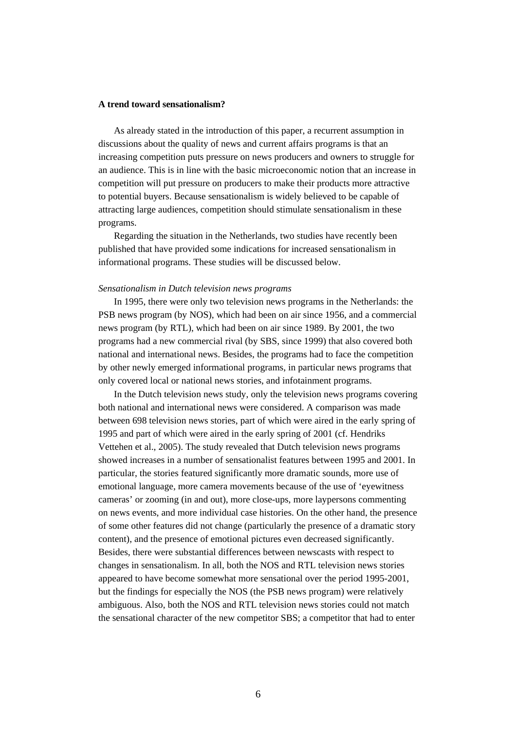## **A trend toward sensationalism?**

As already stated in the introduction of this paper, a recurrent assumption in discussions about the quality of news and current affairs programs is that an increasing competition puts pressure on news producers and owners to struggle for an audience. This is in line with the basic microeconomic notion that an increase in competition will put pressure on producers to make their products more attractive to potential buyers. Because sensationalism is widely believed to be capable of attracting large audiences, competition should stimulate sensationalism in these programs.

Regarding the situation in the Netherlands, two studies have recently been published that have provided some indications for increased sensationalism in informational programs. These studies will be discussed below.

#### *Sensationalism in Dutch television news programs*

In 1995, there were only two television news programs in the Netherlands: the PSB news program (by NOS), which had been on air since 1956, and a commercial news program (by RTL), which had been on air since 1989. By 2001, the two programs had a new commercial rival (by SBS, since 1999) that also covered both national and international news. Besides, the programs had to face the competition by other newly emerged informational programs, in particular news programs that only covered local or national news stories, and infotainment programs.

In the Dutch television news study, only the television news programs covering both national and international news were considered. A comparison was made between 698 television news stories, part of which were aired in the early spring of 1995 and part of which were aired in the early spring of 2001 (cf. Hendriks Vettehen et al., 2005). The study revealed that Dutch television news programs showed increases in a number of sensationalist features between 1995 and 2001. In particular, the stories featured significantly more dramatic sounds, more use of emotional language, more camera movements because of the use of 'eyewitness cameras' or zooming (in and out), more close-ups, more laypersons commenting on news events, and more individual case histories. On the other hand, the presence of some other features did not change (particularly the presence of a dramatic story content), and the presence of emotional pictures even decreased significantly. Besides, there were substantial differences between newscasts with respect to changes in sensationalism. In all, both the NOS and RTL television news stories appeared to have become somewhat more sensational over the period 1995-2001, but the findings for especially the NOS (the PSB news program) were relatively ambiguous. Also, both the NOS and RTL television news stories could not match the sensational character of the new competitor SBS; a competitor that had to enter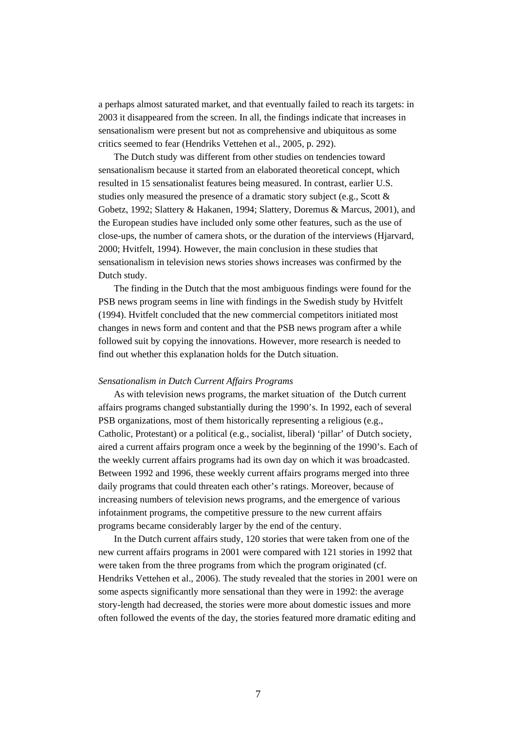a perhaps almost saturated market, and that eventually failed to reach its targets: in 2003 it disappeared from the screen. In all, the findings indicate that increases in sensationalism were present but not as comprehensive and ubiquitous as some critics seemed to fear (Hendriks Vettehen et al., 2005, p. 292).

The Dutch study was different from other studies on tendencies toward sensationalism because it started from an elaborated theoretical concept, which resulted in 15 sensationalist features being measured. In contrast, earlier U.S. studies only measured the presence of a dramatic story subject (e.g., Scott & Gobetz, 1992; Slattery & Hakanen, 1994; Slattery, Doremus & Marcus, 2001), and the European studies have included only some other features, such as the use of close-ups, the number of camera shots, or the duration of the interviews (Hjarvard, 2000; Hvitfelt, 1994). However, the main conclusion in these studies that sensationalism in television news stories shows increases was confirmed by the Dutch study.

The finding in the Dutch that the most ambiguous findings were found for the PSB news program seems in line with findings in the Swedish study by Hvitfelt (1994). Hvitfelt concluded that the new commercial competitors initiated most changes in news form and content and that the PSB news program after a while followed suit by copying the innovations. However, more research is needed to find out whether this explanation holds for the Dutch situation.

#### *Sensationalism in Dutch Current Affairs Programs*

As with television news programs, the market situation of the Dutch current affairs programs changed substantially during the 1990's. In 1992, each of several PSB organizations, most of them historically representing a religious (e.g., Catholic, Protestant) or a political (e.g., socialist, liberal) 'pillar' of Dutch society, aired a current affairs program once a week by the beginning of the 1990's. Each of the weekly current affairs programs had its own day on which it was broadcasted. Between 1992 and 1996, these weekly current affairs programs merged into three daily programs that could threaten each other's ratings. Moreover, because of increasing numbers of television news programs, and the emergence of various infotainment programs, the competitive pressure to the new current affairs programs became considerably larger by the end of the century.

In the Dutch current affairs study, 120 stories that were taken from one of the new current affairs programs in 2001 were compared with 121 stories in 1992 that were taken from the three programs from which the program originated (cf. Hendriks Vettehen et al., 2006). The study revealed that the stories in 2001 were on some aspects significantly more sensational than they were in 1992: the average story-length had decreased, the stories were more about domestic issues and more often followed the events of the day, the stories featured more dramatic editing and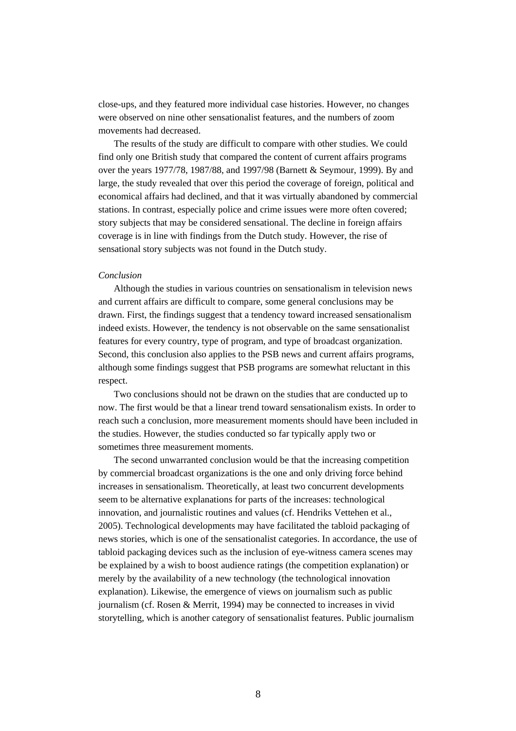close-ups, and they featured more individual case histories. However, no changes were observed on nine other sensationalist features, and the numbers of zoom movements had decreased.

 The results of the study are difficult to compare with other studies. We could find only one British study that compared the content of current affairs programs over the years 1977/78, 1987/88, and 1997/98 (Barnett & Seymour, 1999). By and large, the study revealed that over this period the coverage of foreign, political and economical affairs had declined, and that it was virtually abandoned by commercial stations. In contrast, especially police and crime issues were more often covered; story subjects that may be considered sensational. The decline in foreign affairs coverage is in line with findings from the Dutch study. However, the rise of sensational story subjects was not found in the Dutch study.

# *Conclusion*

Although the studies in various countries on sensationalism in television news and current affairs are difficult to compare, some general conclusions may be drawn. First, the findings suggest that a tendency toward increased sensationalism indeed exists. However, the tendency is not observable on the same sensationalist features for every country, type of program, and type of broadcast organization. Second, this conclusion also applies to the PSB news and current affairs programs, although some findings suggest that PSB programs are somewhat reluctant in this respect.

Two conclusions should not be drawn on the studies that are conducted up to now. The first would be that a linear trend toward sensationalism exists. In order to reach such a conclusion, more measurement moments should have been included in the studies. However, the studies conducted so far typically apply two or sometimes three measurement moments.

The second unwarranted conclusion would be that the increasing competition by commercial broadcast organizations is the one and only driving force behind increases in sensationalism. Theoretically, at least two concurrent developments seem to be alternative explanations for parts of the increases: technological innovation, and journalistic routines and values (cf. Hendriks Vettehen et al., 2005). Technological developments may have facilitated the tabloid packaging of news stories, which is one of the sensationalist categories. In accordance, the use of tabloid packaging devices such as the inclusion of eye-witness camera scenes may be explained by a wish to boost audience ratings (the competition explanation) or merely by the availability of a new technology (the technological innovation explanation). Likewise, the emergence of views on journalism such as public journalism (cf. Rosen & Merrit, 1994) may be connected to increases in vivid storytelling, which is another category of sensationalist features. Public journalism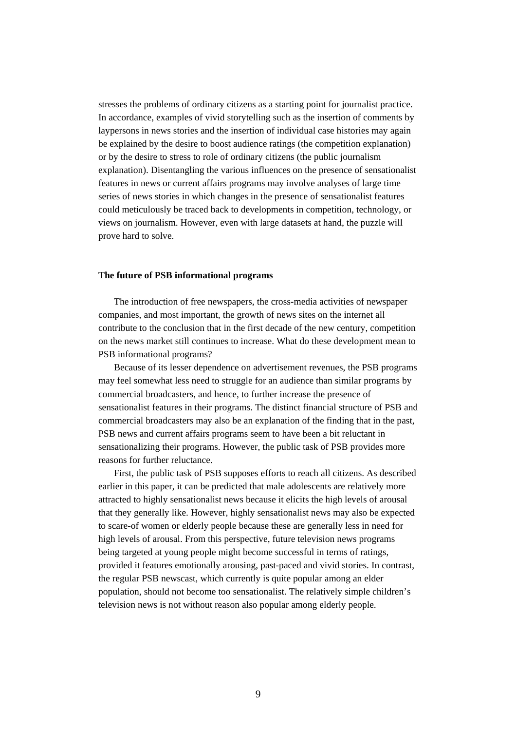stresses the problems of ordinary citizens as a starting point for journalist practice. In accordance, examples of vivid storytelling such as the insertion of comments by laypersons in news stories and the insertion of individual case histories may again be explained by the desire to boost audience ratings (the competition explanation) or by the desire to stress to role of ordinary citizens (the public journalism explanation). Disentangling the various influences on the presence of sensationalist features in news or current affairs programs may involve analyses of large time series of news stories in which changes in the presence of sensationalist features could meticulously be traced back to developments in competition, technology, or views on journalism. However, even with large datasets at hand, the puzzle will prove hard to solve.

# **The future of PSB informational programs**

The introduction of free newspapers, the cross-media activities of newspaper companies, and most important, the growth of news sites on the internet all contribute to the conclusion that in the first decade of the new century, competition on the news market still continues to increase. What do these development mean to PSB informational programs?

 Because of its lesser dependence on advertisement revenues, the PSB programs may feel somewhat less need to struggle for an audience than similar programs by commercial broadcasters, and hence, to further increase the presence of sensationalist features in their programs. The distinct financial structure of PSB and commercial broadcasters may also be an explanation of the finding that in the past, PSB news and current affairs programs seem to have been a bit reluctant in sensationalizing their programs. However, the public task of PSB provides more reasons for further reluctance.

 First, the public task of PSB supposes efforts to reach all citizens. As described earlier in this paper, it can be predicted that male adolescents are relatively more attracted to highly sensationalist news because it elicits the high levels of arousal that they generally like. However, highly sensationalist news may also be expected to scare-of women or elderly people because these are generally less in need for high levels of arousal. From this perspective, future television news programs being targeted at young people might become successful in terms of ratings, provided it features emotionally arousing, past-paced and vivid stories. In contrast, the regular PSB newscast, which currently is quite popular among an elder population, should not become too sensationalist. The relatively simple children's television news is not without reason also popular among elderly people.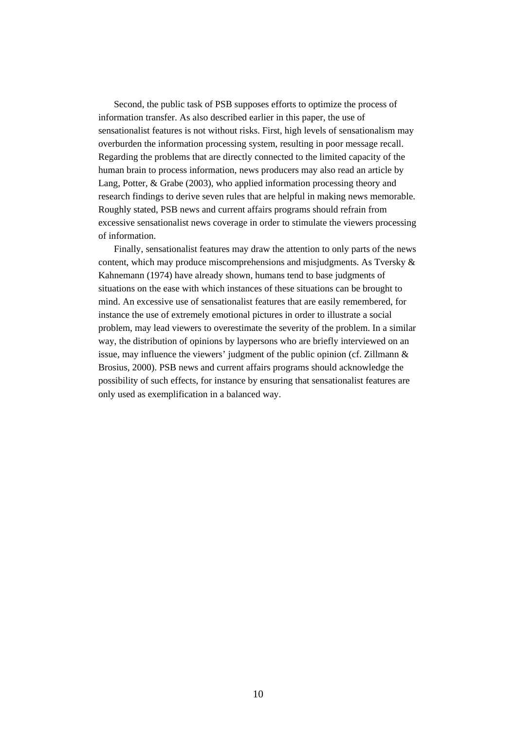Second, the public task of PSB supposes efforts to optimize the process of information transfer. As also described earlier in this paper, the use of sensationalist features is not without risks. First, high levels of sensationalism may overburden the information processing system, resulting in poor message recall. Regarding the problems that are directly connected to the limited capacity of the human brain to process information, news producers may also read an article by Lang, Potter, & Grabe (2003), who applied information processing theory and research findings to derive seven rules that are helpful in making news memorable. Roughly stated, PSB news and current affairs programs should refrain from excessive sensationalist news coverage in order to stimulate the viewers processing of information.

Finally, sensationalist features may draw the attention to only parts of the news content, which may produce miscomprehensions and misjudgments. As Tversky & Kahnemann (1974) have already shown, humans tend to base judgments of situations on the ease with which instances of these situations can be brought to mind. An excessive use of sensationalist features that are easily remembered, for instance the use of extremely emotional pictures in order to illustrate a social problem, may lead viewers to overestimate the severity of the problem. In a similar way, the distribution of opinions by laypersons who are briefly interviewed on an issue, may influence the viewers' judgment of the public opinion (cf. Zillmann & Brosius, 2000). PSB news and current affairs programs should acknowledge the possibility of such effects, for instance by ensuring that sensationalist features are only used as exemplification in a balanced way.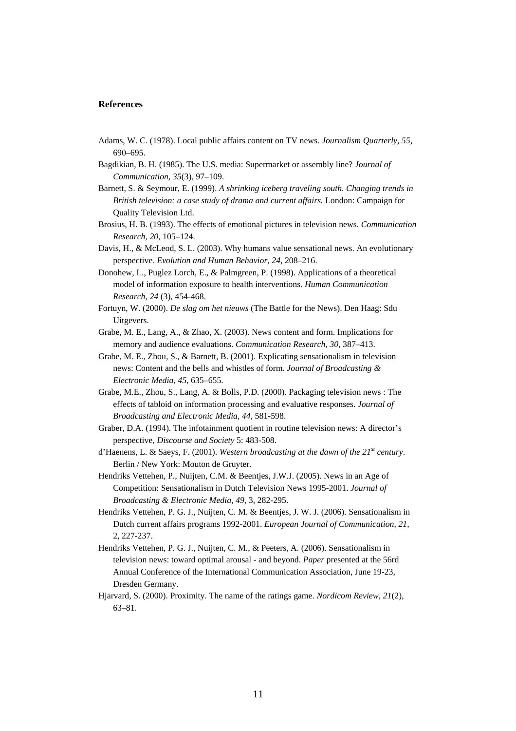#### **References**

- Adams, W. C. (1978). Local public affairs content on TV news. *Journalism Quarterly, 55*, 690–695.
- Bagdikian, B. H. (1985). The U.S. media: Supermarket or assembly line? *Journal of Communication, 35*(3), 97–109.
- Barnett, S. & Seymour, E. (1999). *A shrinking iceberg traveling south. Changing trends in British television: a case study of drama and current affairs.* London: Campaign for Quality Television Ltd.
- Brosius, H. B. (1993). The effects of emotional pictures in television news. *Communication Research, 20*, 105–124.
- Davis, H., & McLeod, S. L. (2003). Why humans value sensational news. An evolutionary perspective. *Evolution and Human Behavior, 24*, 208–216.
- Donohew, L., Puglez Lorch, E., & Palmgreen, P. (1998). Applications of a theoretical model of information exposure to health interventions. *Human Communication Research, 24* (3), 454-468.
- Fortuyn, W. (2000). *De slag om het nieuws* (The Battle for the News). Den Haag: Sdu Uitgevers.
- Grabe, M. E., Lang, A., & Zhao, X. (2003). News content and form. Implications for memory and audience evaluations. *Communication Research, 30*, 387–413.
- Grabe, M. E., Zhou, S., & Barnett, B. (2001). Explicating sensationalism in television news: Content and the bells and whistles of form. *Journal of Broadcasting & Electronic Media, 45*, 635–655.
- Grabe, M.E., Zhou, S., Lang, A. & Bolls, P.D. (2000). Packaging television news : The effects of tabloid on information processing and evaluative responses. *Journal of Broadcasting and Electronic Media, 44*, 581-598.
- Graber, D.A. (1994). The infotainment quotient in routine television news: A director's perspective, *Discourse and Society* 5: 483-508.
- d'Haenens, L. & Saeys, F. (2001). *Western broadcasting at the dawn of the 21st century*. Berlin / New York: Mouton de Gruyter.
- Hendriks Vettehen, P., Nuijten, C.M. & Beentjes, J.W.J. (2005). News in an Age of Competition: Sensationalism in Dutch Television News 1995-2001. *Journal of Broadcasting & Electronic Media, 49*, 3, 282-295.
- Hendriks Vettehen, P. G. J., Nuijten, C. M. & Beentjes, J. W. J. (2006). Sensationalism in Dutch current affairs programs 1992-2001. *European Journal of Communication, 21*, 2, 227-237.
- Hendriks Vettehen, P. G. J., Nuijten, C. M., & Peeters, A. (2006). Sensationalism in television news: toward optimal arousal - and beyond. *Paper* presented at the 56rd Annual Conference of the International Communication Association, June 19-23, Dresden Germany.
- Hjarvard, S. (2000). Proximity. The name of the ratings game. *Nordicom Review, 21*(2), 63–81.